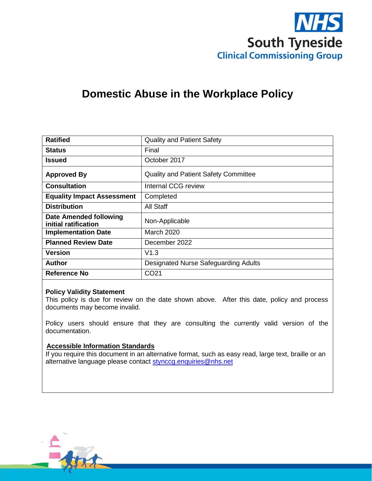

# **Domestic Abuse in the Workplace Policy**

| <b>Ratified</b>                                | <b>Quality and Patient Safety</b>           |  |
|------------------------------------------------|---------------------------------------------|--|
| <b>Status</b>                                  | Final                                       |  |
| Issued                                         | October 2017                                |  |
| <b>Approved By</b>                             | <b>Quality and Patient Safety Committee</b> |  |
| <b>Consultation</b>                            | Internal CCG review                         |  |
| <b>Equality Impact Assessment</b>              | Completed                                   |  |
| <b>Distribution</b>                            | All Staff                                   |  |
| Date Amended following<br>initial ratification | Non-Applicable                              |  |
| <b>Implementation Date</b>                     | <b>March 2020</b>                           |  |
| <b>Planned Review Date</b>                     | December 2022                               |  |
| Version                                        | V1.3                                        |  |
| Author                                         | <b>Designated Nurse Safeguarding Adults</b> |  |
| <b>Reference No</b>                            | CO <sub>21</sub>                            |  |

#### **Policy Validity Statement**

This policy is due for review on the date shown above. After this date, policy and process documents may become invalid.

Policy users should ensure that they are consulting the currently valid version of the documentation.

#### **Accessible Information Standards**

If you require this document in an alternative format, such as easy read, large text, braille or an alternative language please contact [stynccg.enquiries@nhs.net](mailto:stynccg.enquiries@nhs.net)

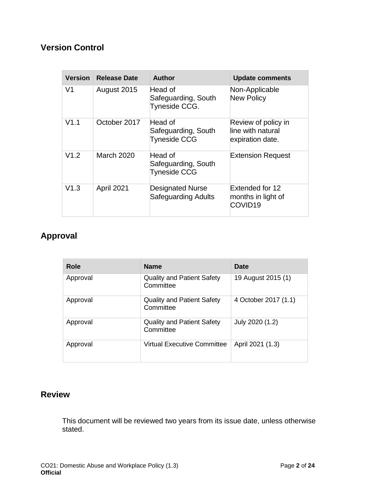# **Version Control**

| <b>Version</b> | <b>Release Date</b> | Author                                                | <b>Update comments</b>                                       |
|----------------|---------------------|-------------------------------------------------------|--------------------------------------------------------------|
| V <sub>1</sub> | August 2015         | Head of<br>Safeguarding, South<br>Tyneside CCG.       | Non-Applicable<br><b>New Policy</b>                          |
| V1.1           | October 2017        | Head of<br>Safeguarding, South<br><b>Tyneside CCG</b> | Review of policy in<br>line with natural<br>expiration date. |
| V1.2           | <b>March 2020</b>   | Head of<br>Safeguarding, South<br><b>Tyneside CCG</b> | <b>Extension Request</b>                                     |
| V1.3           | April 2021          | <b>Designated Nurse</b><br>Safeguarding Adults        | Extended for 12<br>months in light of<br>COVID <sub>19</sub> |

# **Approval**

| Role     | <b>Name</b>                                    | Date                 |
|----------|------------------------------------------------|----------------------|
| Approval | <b>Quality and Patient Safety</b><br>Committee | 19 August 2015 (1)   |
| Approval | <b>Quality and Patient Safety</b><br>Committee | 4 October 2017 (1.1) |
| Approval | <b>Quality and Patient Safety</b><br>Committee | July 2020 (1.2)      |
| Approval | <b>Virtual Executive Committee</b>             | April 2021 (1.3)     |

# **Review**

This document will be reviewed two years from its issue date, unless otherwise stated.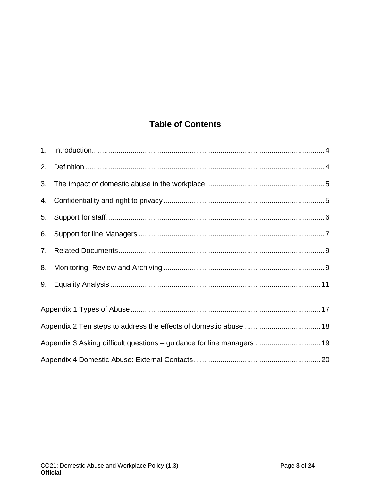# **Table of Contents**

| 2. |                                                                        |  |
|----|------------------------------------------------------------------------|--|
| 3. |                                                                        |  |
| 4. |                                                                        |  |
| 5. |                                                                        |  |
| 6. |                                                                        |  |
| 7. |                                                                        |  |
| 8. |                                                                        |  |
| 9. |                                                                        |  |
|    |                                                                        |  |
|    |                                                                        |  |
|    | Appendix 3 Asking difficult questions - guidance for line managers  19 |  |
|    |                                                                        |  |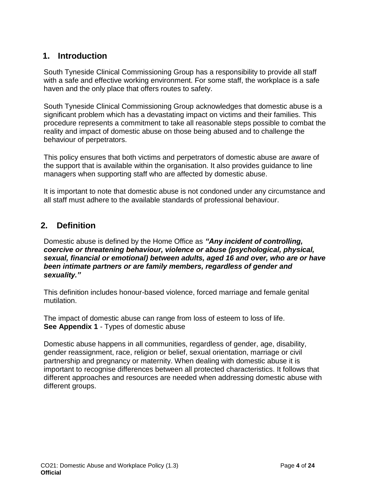# <span id="page-3-0"></span>**1. Introduction**

South Tyneside Clinical Commissioning Group has a responsibility to provide all staff with a safe and effective working environment. For some staff, the workplace is a safe haven and the only place that offers routes to safety.

South Tyneside Clinical Commissioning Group acknowledges that domestic abuse is a significant problem which has a devastating impact on victims and their families. This procedure represents a commitment to take all reasonable steps possible to combat the reality and impact of domestic abuse on those being abused and to challenge the behaviour of perpetrators.

This policy ensures that both victims and perpetrators of domestic abuse are aware of the support that is available within the organisation. It also provides guidance to line managers when supporting staff who are affected by domestic abuse.

It is important to note that domestic abuse is not condoned under any circumstance and all staff must adhere to the available standards of professional behaviour.

# <span id="page-3-1"></span>**2. Definition**

Domestic abuse is defined by the Home Office as *"Any incident of controlling, coercive or threatening behaviour, violence or abuse (psychological, physical, sexual, financial or emotional) between adults, aged 16 and over, who are or have been intimate partners or are family members, regardless of gender and sexuality."*

This definition includes honour-based violence, forced marriage and female genital mutilation.

The impact of domestic abuse can range from loss of esteem to loss of life. **See Appendix 1** - Types of domestic abuse

Domestic abuse happens in all communities, regardless of gender, age, disability, gender reassignment, race, religion or belief, sexual orientation, marriage or civil partnership and pregnancy or maternity. When dealing with domestic abuse it is important to recognise differences between all protected characteristics. It follows that different approaches and resources are needed when addressing domestic abuse with different groups.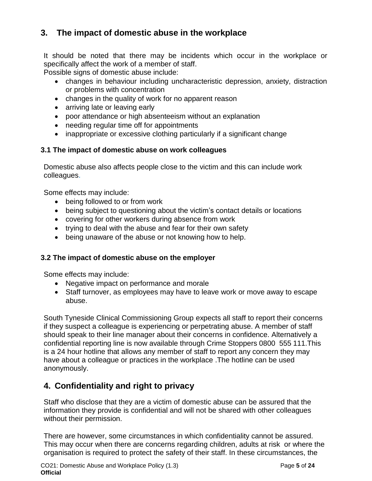# <span id="page-4-0"></span>**3. The impact of domestic abuse in the workplace**

It should be noted that there may be incidents which occur in the workplace or specifically affect the work of a member of staff.

Possible signs of domestic abuse include:

- changes in behaviour including uncharacteristic depression, anxiety, distraction or problems with concentration
- changes in the quality of work for no apparent reason
- arriving late or leaving early
- poor attendance or high absenteeism without an explanation
- needing regular time off for appointments
- inappropriate or excessive clothing particularly if a significant change

# **3.1 The impact of domestic abuse on work colleagues**

Domestic abuse also affects people close to the victim and this can include work colleagues.

Some effects may include:

- being followed to or from work
- being subject to questioning about the victim's contact details or locations
- covering for other workers during absence from work
- trying to deal with the abuse and fear for their own safety
- being unaware of the abuse or not knowing how to help.

# **3.2 The impact of domestic abuse on the employer**

Some effects may include:

- Negative impact on performance and morale
- Staff turnover, as employees may have to leave work or move away to escape abuse.

South Tyneside Clinical Commissioning Group expects all staff to report their concerns if they suspect a colleague is experiencing or perpetrating abuse. A member of staff should speak to their line manager about their concerns in confidence. Alternatively a confidential reporting line is now available through Crime Stoppers 0800 555 111.This is a 24 hour hotline that allows any member of staff to report any concern they may have about a colleague or practices in the workplace .The hotline can be used anonymously.

# <span id="page-4-1"></span>**4. Confidentiality and right to privacy**

Staff who disclose that they are a victim of domestic abuse can be assured that the information they provide is confidential and will not be shared with other colleagues without their permission.

There are however, some circumstances in which confidentiality cannot be assured. This may occur when there are concerns regarding children, adults at risk or where the organisation is required to protect the safety of their staff. In these circumstances, the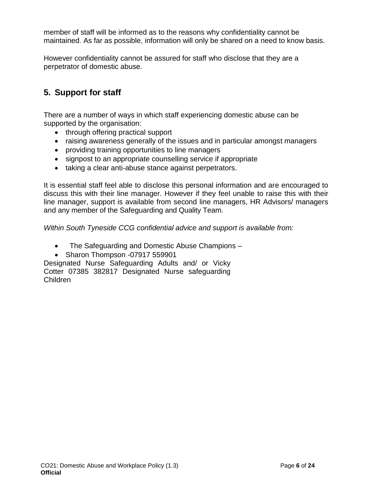member of staff will be informed as to the reasons why confidentiality cannot be maintained. As far as possible, information will only be shared on a need to know basis.

However confidentiality cannot be assured for staff who disclose that they are a perpetrator of domestic abuse.

# <span id="page-5-0"></span>**5. Support for staff**

There are a number of ways in which staff experiencing domestic abuse can be supported by the organisation:

- through offering practical support
- raising awareness generally of the issues and in particular amongst managers
- providing training opportunities to line managers
- signpost to an appropriate counselling service if appropriate
- taking a clear anti-abuse stance against perpetrators.

It is essential staff feel able to disclose this personal information and are encouraged to discuss this with their line manager. However if they feel unable to raise this with their line manager, support is available from second line managers, HR Advisors/ managers and any member of the Safeguarding and Quality Team.

*Within South Tyneside CCG confidential advice and support is available from:*

- The Safeguarding and Domestic Abuse Champions –
- Sharon Thompson -07917 559901

Designated Nurse Safeguarding Adults and/ or Vicky Cotter 07385 382817 Designated Nurse safeguarding Children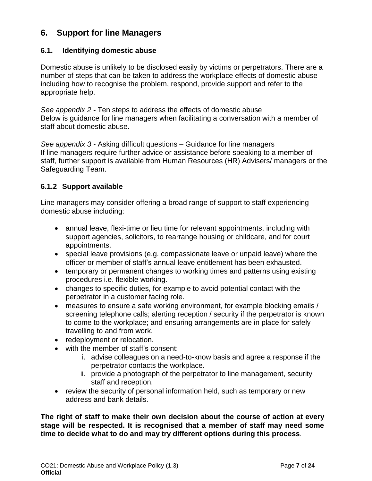# <span id="page-6-0"></span>**6. Support for line Managers**

## **6.1. Identifying domestic abuse**

Domestic abuse is unlikely to be disclosed easily by victims or perpetrators. There are a number of steps that can be taken to address the workplace effects of domestic abuse including how to recognise the problem, respond, provide support and refer to the appropriate help.

*See appendix 2* **-** Ten steps to address the effects of domestic abuse Below is guidance for line managers when facilitating a conversation with a member of staff about domestic abuse.

*See appendix 3* - Asking difficult questions – Guidance for line managers If line managers require further advice or assistance before speaking to a member of staff, further support is available from Human Resources (HR) Advisers/ managers or the Safeguarding Team.

## **6.1.2 Support available**

Line managers may consider offering a broad range of support to staff experiencing domestic abuse including:

- annual leave, flexi-time or lieu time for relevant appointments, including with support agencies, solicitors, to rearrange housing or childcare, and for court appointments.
- special leave provisions (e.g. compassionate leave or unpaid leave) where the officer or member of staff's annual leave entitlement has been exhausted.
- temporary or permanent changes to working times and patterns using existing procedures i.e. flexible working.
- changes to specific duties, for example to avoid potential contact with the perpetrator in a customer facing role.
- measures to ensure a safe working environment, for example blocking emails / screening telephone calls; alerting reception / security if the perpetrator is known to come to the workplace; and ensuring arrangements are in place for safely travelling to and from work.
- redeployment or relocation.
- with the member of staff's consent:
	- i. advise colleagues on a need-to-know basis and agree a response if the perpetrator contacts the workplace.
	- ii. provide a photograph of the perpetrator to line management, security staff and reception.
- review the security of personal information held, such as temporary or new address and bank details.

**The right of staff to make their own decision about the course of action at every stage will be respected. It is recognised that a member of staff may need some time to decide what to do and may try different options during this process**.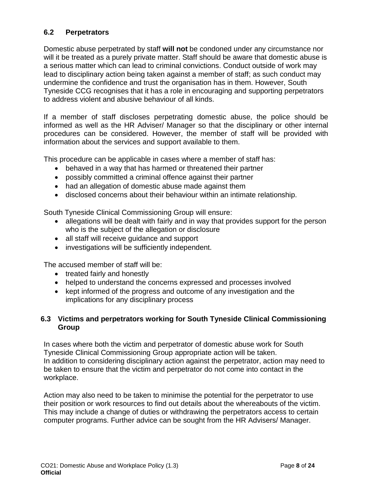# **6.2 Perpetrators**

Domestic abuse perpetrated by staff **will not** be condoned under any circumstance nor will it be treated as a purely private matter. Staff should be aware that domestic abuse is a serious matter which can lead to criminal convictions. Conduct outside of work may lead to disciplinary action being taken against a member of staff; as such conduct may undermine the confidence and trust the organisation has in them. However, South Tyneside CCG recognises that it has a role in encouraging and supporting perpetrators to address violent and abusive behaviour of all kinds.

If a member of staff discloses perpetrating domestic abuse, the police should be informed as well as the HR Adviser/ Manager so that the disciplinary or other internal procedures can be considered. However, the member of staff will be provided with information about the services and support available to them.

This procedure can be applicable in cases where a member of staff has:

- behaved in a way that has harmed or threatened their partner
- possibly committed a criminal offence against their partner
- had an allegation of domestic abuse made against them
- disclosed concerns about their behaviour within an intimate relationship.

South Tyneside Clinical Commissioning Group will ensure:

- allegations will be dealt with fairly and in way that provides support for the person who is the subject of the allegation or disclosure
- all staff will receive guidance and support
- investigations will be sufficiently independent.

The accused member of staff will be:

- treated fairly and honestly
- helped to understand the concerns expressed and processes involved
- kept informed of the progress and outcome of any investigation and the implications for any disciplinary process

# **6.3 Victims and perpetrators working for South Tyneside Clinical Commissioning Group**

In cases where both the victim and perpetrator of domestic abuse work for South Tyneside Clinical Commissioning Group appropriate action will be taken. In addition to considering disciplinary action against the perpetrator, action may need to be taken to ensure that the victim and perpetrator do not come into contact in the workplace.

Action may also need to be taken to minimise the potential for the perpetrator to use their position or work resources to find out details about the whereabouts of the victim. This may include a change of duties or withdrawing the perpetrators access to certain computer programs. Further advice can be sought from the HR Advisers/ Manager.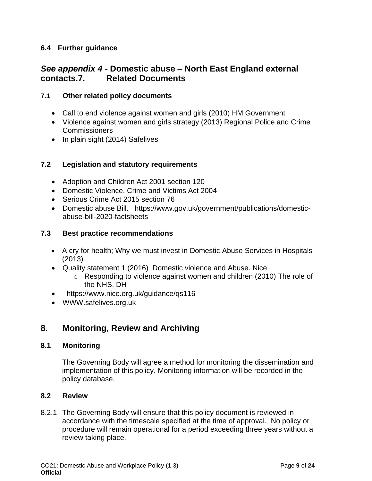# **6.4 Further guidance**

# <span id="page-8-0"></span>*See appendix 4* **- Domestic abuse – North East England external contacts.7. Related Documents**

## **7.1 Other related policy documents**

- Call to end violence against women and girls (2010) HM Government
- Violence against women and girls strategy (2013) Regional Police and Crime **Commissioners**
- In plain sight (2014) Safelives

## **7.2 Legislation and statutory requirements**

- Adoption and Children Act 2001 section 120
- Domestic Violence, Crime and Victims Act 2004
- Serious Crime Act 2015 section 76
- Domestic abuse Bill. https://www.gov.uk/government/publications/domesticabuse-bill-2020-factsheets

## **7.3 Best practice recommendations**

- A cry for health; Why we must invest in Domestic Abuse Services in Hospitals (2013)
- Quality statement 1 (2016) Domestic violence and Abuse. Nice
	- o Responding to violence against women and children (2010) The role of the NHS. DH
- https://www.nice.org.uk/guidance/qs116
- [WWW.safelives.org.uk](http://www.safelives.org.uk/)

# <span id="page-8-1"></span>**8. Monitoring, Review and Archiving**

## **8.1 Monitoring**

The Governing Body will agree a method for monitoring the dissemination and implementation of this policy. Monitoring information will be recorded in the policy database.

## **8.2 Review**

8.2.1 The Governing Body will ensure that this policy document is reviewed in accordance with the timescale specified at the time of approval. No policy or procedure will remain operational for a period exceeding three years without a review taking place.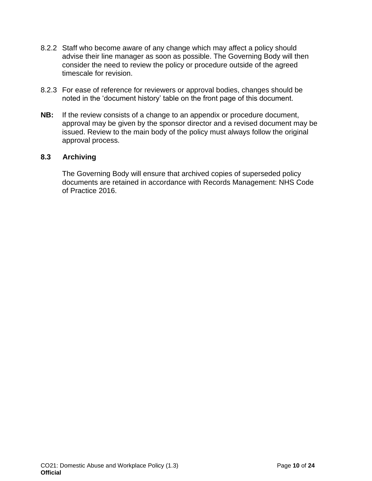- 8.2.2 Staff who become aware of any change which may affect a policy should advise their line manager as soon as possible. The Governing Body will then consider the need to review the policy or procedure outside of the agreed timescale for revision.
- 8.2.3 For ease of reference for reviewers or approval bodies, changes should be noted in the 'document history' table on the front page of this document.
- **NB:** If the review consists of a change to an appendix or procedure document, approval may be given by the sponsor director and a revised document may be issued. Review to the main body of the policy must always follow the original approval process.

## **8.3 Archiving**

The Governing Body will ensure that archived copies of superseded policy documents are retained in accordance with Records Management: NHS Code of Practice 2016.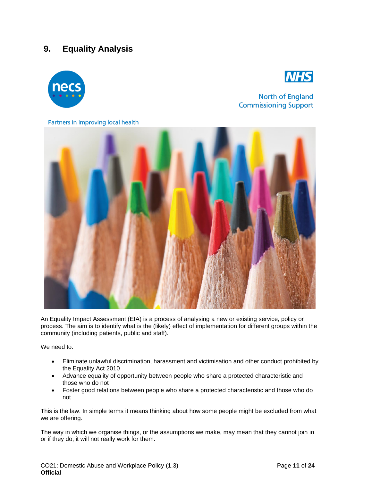# <span id="page-10-0"></span>**9. Equality Analysis**





North of England **Commissioning Support** 

Partners in improving local health



An Equality Impact Assessment (EIA) is a process of analysing a new or existing service, policy or process. The aim is to identify what is the (likely) effect of implementation for different groups within the community (including patients, public and staff).

We need to:

- Eliminate unlawful discrimination, harassment and victimisation and other conduct prohibited by the Equality Act 2010
- Advance equality of opportunity between people who share a protected characteristic and those who do not
- Foster good relations between people who share a protected characteristic and those who do not

This is the law. In simple terms it means thinking about how some people might be excluded from what we are offering.

The way in which we organise things, or the assumptions we make, may mean that they cannot join in or if they do, it will not really work for them.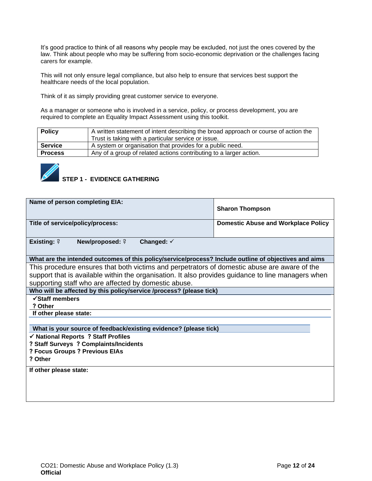It's good practice to think of all reasons why people may be excluded, not just the ones covered by the law. Think about people who may be suffering from socio-economic deprivation or the challenges facing carers for example.

This will not only ensure legal compliance, but also help to ensure that services best support the healthcare needs of the local population.

Think of it as simply providing great customer service to everyone.

As a manager or someone who is involved in a service, policy, or process development, you are required to complete an Equality Impact Assessment using this toolkit.

| <b>Policy</b>  | A written statement of intent describing the broad approach or course of action the<br>Trust is taking with a particular service or issue. |
|----------------|--------------------------------------------------------------------------------------------------------------------------------------------|
| <b>Service</b> | A system or organisation that provides for a public need.                                                                                  |
| <b>Process</b> | Any of a group of related actions contributing to a larger action.                                                                         |
|                |                                                                                                                                            |



# *STEP 1 - EVIDENCE GATHERING*

| Name of person completing EIA:                                                                        | <b>Sharon Thompson</b>                     |  |  |
|-------------------------------------------------------------------------------------------------------|--------------------------------------------|--|--|
| Title of service/policy/process:                                                                      | <b>Domestic Abuse and Workplace Policy</b> |  |  |
| <b>Existing: <math>?</math></b><br><b>New/proposed: ?</b><br>Changed: $\checkmark$                    |                                            |  |  |
| What are the intended outcomes of this policy/service/process? Include outline of objectives and aims |                                            |  |  |
| This procedure ensures that both victims and perpetrators of domestic abuse are aware of the          |                                            |  |  |
| support that is available within the organisation. It also provides guidance to line managers when    |                                            |  |  |
| supporting staff who are affected by domestic abuse.                                                  |                                            |  |  |
| Who will be affected by this policy/service /process? (please tick)                                   |                                            |  |  |
| ✔ Staff members                                                                                       |                                            |  |  |
| ? Other                                                                                               |                                            |  |  |
| If other please state:                                                                                |                                            |  |  |
| What is your source of feedback/existing evidence? (please tick)                                      |                                            |  |  |
| √ National Reports ? Staff Profiles                                                                   |                                            |  |  |
| ? Staff Surveys ? Complaints/Incidents                                                                |                                            |  |  |
| ? Focus Groups ? Previous EIAs                                                                        |                                            |  |  |
| ? Other                                                                                               |                                            |  |  |
| If other please state:                                                                                |                                            |  |  |
|                                                                                                       |                                            |  |  |
|                                                                                                       |                                            |  |  |
|                                                                                                       |                                            |  |  |
|                                                                                                       |                                            |  |  |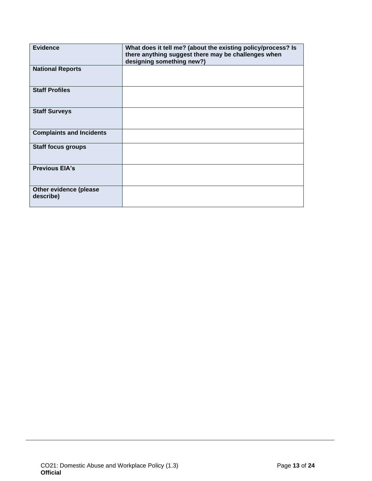| <b>Evidence</b>                     | What does it tell me? (about the existing policy/process? Is<br>there anything suggest there may be challenges when<br>designing something new?) |
|-------------------------------------|--------------------------------------------------------------------------------------------------------------------------------------------------|
| <b>National Reports</b>             |                                                                                                                                                  |
| <b>Staff Profiles</b>               |                                                                                                                                                  |
| <b>Staff Surveys</b>                |                                                                                                                                                  |
| <b>Complaints and Incidents</b>     |                                                                                                                                                  |
| <b>Staff focus groups</b>           |                                                                                                                                                  |
| <b>Previous EIA's</b>               |                                                                                                                                                  |
| Other evidence (please<br>describe) |                                                                                                                                                  |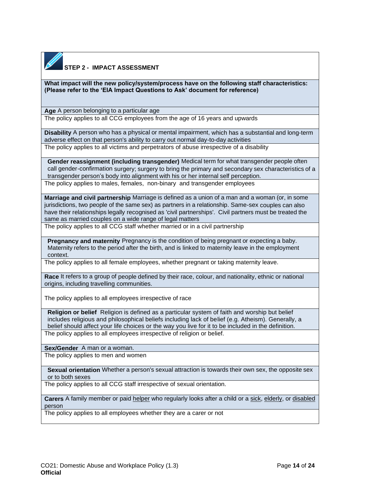

## **STEP 2 - IMPACT ASSESSMENT**

**What impact will the new policy/system/process have on the following staff characteristics: (Please refer to the 'EIA Impact Questions to Ask' document for reference)**

**Age** A person belonging to a particular age

The policy applies to all CCG employees from the age of 16 years and upwards

**Disability** A person who has a physical or mental impairment, which has a substantial and long-term adverse effect on that person's ability to carry out normal day-to-day activities

The policy applies to all victims and perpetrators of abuse irrespective of a disability

**Gender reassignment (including transgender)** Medical term for what transgender people often call gender-confirmation surgery; surgery to bring the primary and secondary sex characteristics of a transgender person's body into alignment with his or her internal self perception. The policy applies to males, females, non-binary and transgender employees

**Marriage and civil partnership** Marriage is defined as a union of a man and a woman (or, in some jurisdictions, two people of the same sex) as partners in a relationship. Same-sex couples can also have their relationships legally recognised as 'civil partnerships'. Civil partners must be treated the same as married couples on a wide range of legal matters

The policy applies to all CCG staff whether married or in a civil partnership

**Pregnancy and maternity** Pregnancy is the condition of being pregnant or expecting a baby. Maternity refers to the period after the birth, and is linked to maternity leave in the employment context.

The policy applies to all female employees, whether pregnant or taking maternity leave.

**Race** It refers to a group of people defined by their race, colour, and nationality, ethnic or national origins, including travelling communities.

The policy applies to all employees irrespective of race

**Religion or belief** Religion is defined as a particular system of faith and worship but belief includes religious and philosophical beliefs including lack of belief (e.g. Atheism). Generally, a belief should affect your life choices or the way you live for it to be included in the definition. The policy applies to all employees irrespective of religion or belief.

**Sex/Gender** A man or a woman.

The policy applies to men and women

**Sexual orientation** Whether a person's sexual attraction is towards their own sex, the opposite sex or to both sexes

The policy applies to all CCG staff irrespective of sexual orientation.

**Carers** A family member or paid [helper](http://www.oxforddictionaries.com/definition/english/%20http:/www.oxforddictionaries.com/definition/english/helper#helper__2) who regularly looks after a child or a [sick,](http://www.oxforddictionaries.com/definition/english/%20http:/www.oxforddictionaries.com/definition/english/sick#sick__2) [elderly,](http://www.oxforddictionaries.com/definition/english/%20http:/www.oxforddictionaries.com/definition/english/elderly#elderly__2) or [disabled](http://www.oxforddictionaries.com/definition/english/%20http:/www.oxforddictionaries.com/definition/english/disabled#disabled__2) person

The policy applies to all employees whether they are a carer or not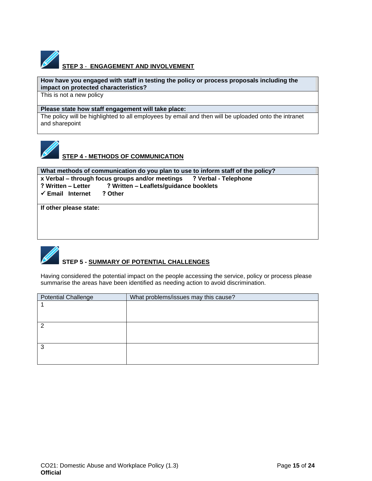

# **STEP 3** - **ENGAGEMENT AND INVOLVEMENT**

#### **How have you engaged with staff in testing the policy or process proposals including the impact on protected characteristics?**

This is not a new policy

#### **Please state how staff engagement will take place:**

The policy will be highlighted to all employees by email and then will be uploaded onto the intranet and sharepoint



# **STEP 4 - METHODS OF COMMUNICATION**

**What methods of communication do you plan to use to inform staff of the policy? x Verbal – through focus groups and/or meetings ? Verbal - Telephone ? Written – Letter ? Written – Leaflets/guidance booklets**  ✓ **Email Internet ? Other**

**If other please state:**

# **STEP 5 - SUMMARY OF POTENTIAL CHALLENGES**

Having considered the potential impact on the people accessing the service, policy or process please summarise the areas have been identified as needing action to avoid discrimination.

| <b>Potential Challenge</b> | What problems/issues may this cause? |
|----------------------------|--------------------------------------|
|                            |                                      |
|                            |                                      |
|                            |                                      |
|                            |                                      |
|                            |                                      |
|                            |                                      |
| 3                          |                                      |
|                            |                                      |
|                            |                                      |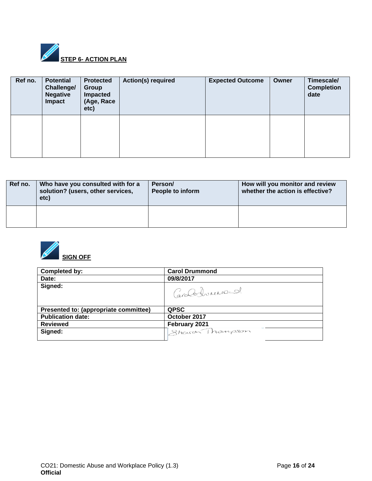

| Ref no. | <b>Potential</b><br>Challenge/<br><b>Negative</b><br>Impact | <b>Protected</b><br>Group<br>Impacted<br>(Age, Race<br>etc) | <b>Action(s) required</b> | <b>Expected Outcome</b> | Owner | Timescale/<br><b>Completion</b><br>date |
|---------|-------------------------------------------------------------|-------------------------------------------------------------|---------------------------|-------------------------|-------|-----------------------------------------|
|         |                                                             |                                                             |                           |                         |       |                                         |

| Ref no. | Who have you consulted with for a<br>solution? (users, other services,<br>etc) | Person/<br>People to inform | How will you monitor and review<br>whether the action is effective? |
|---------|--------------------------------------------------------------------------------|-----------------------------|---------------------------------------------------------------------|
|         |                                                                                |                             |                                                                     |



| Completed by:                         | <b>Carol Drummond</b> |
|---------------------------------------|-----------------------|
| Date:                                 | 09/8/2017             |
| Signed:                               | Caroloxburearend.     |
| Presented to: (appropriate committee) | <b>QPSC</b>           |
| <b>Publication date:</b>              | October 2017          |
| <b>Reviewed</b>                       | February 2021         |
| Signed:                               | Shawan Thompson       |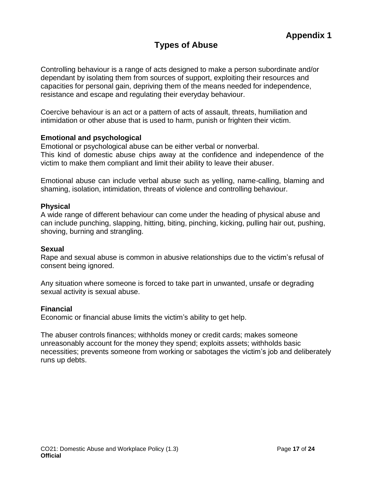# **Types of Abuse**

<span id="page-16-1"></span><span id="page-16-0"></span>Controlling behaviour is a range of acts designed to make a person subordinate and/or dependant by isolating them from sources of support, exploiting their resources and capacities for personal gain, depriving them of the means needed for independence, resistance and escape and regulating their everyday behaviour.

Coercive behaviour is an act or a pattern of acts of assault, threats, humiliation and intimidation or other abuse that is used to harm, punish or frighten their victim.

## **Emotional and psychological**

Emotional or psychological abuse can be either verbal or nonverbal. This kind of domestic abuse chips away at the confidence and independence of the victim to make them compliant and limit their ability to leave their abuser.

Emotional abuse can include verbal abuse such as yelling, name-calling, blaming and shaming, isolation, intimidation, threats of violence and controlling behaviour.

## **Physical**

A wide range of different behaviour can come under the heading of physical abuse and can include punching, slapping, hitting, biting, pinching, kicking, pulling hair out, pushing, shoving, burning and strangling.

## **Sexual**

Rape and sexual abuse is common in abusive relationships due to the victim's refusal of consent being ignored.

Any situation where someone is forced to take part in unwanted, unsafe or degrading sexual activity is sexual abuse.

## **Financial**

Economic or financial abuse limits the victim's ability to get help.

The abuser controls finances; withholds money or credit cards; makes someone unreasonably account for the money they spend; exploits assets; withholds basic necessities; prevents someone from working or sabotages the victim's job and deliberately runs up debts.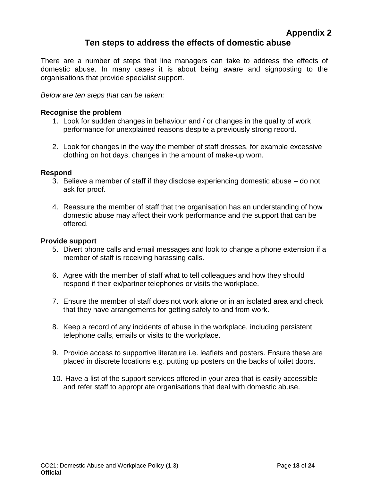# **Ten steps to address the effects of domestic abuse**

<span id="page-17-1"></span><span id="page-17-0"></span>There are a number of steps that line managers can take to address the effects of domestic abuse. In many cases it is about being aware and signposting to the organisations that provide specialist support.

*Below are ten steps that can be taken:*

## **Recognise the problem**

- 1. Look for sudden changes in behaviour and / or changes in the quality of work performance for unexplained reasons despite a previously strong record.
- 2. Look for changes in the way the member of staff dresses, for example excessive clothing on hot days, changes in the amount of make-up worn.

#### **Respond**

- 3. Believe a member of staff if they disclose experiencing domestic abuse do not ask for proof.
- 4. Reassure the member of staff that the organisation has an understanding of how domestic abuse may affect their work performance and the support that can be offered.

#### **Provide support**

- 5. Divert phone calls and email messages and look to change a phone extension if a member of staff is receiving harassing calls.
- 6. Agree with the member of staff what to tell colleagues and how they should respond if their ex/partner telephones or visits the workplace.
- 7. Ensure the member of staff does not work alone or in an isolated area and check that they have arrangements for getting safely to and from work.
- 8. Keep a record of any incidents of abuse in the workplace, including persistent telephone calls, emails or visits to the workplace.
- 9. Provide access to supportive literature i.e. leaflets and posters. Ensure these are placed in discrete locations e.g. putting up posters on the backs of toilet doors.
- 10. Have a list of the support services offered in your area that is easily accessible and refer staff to appropriate organisations that deal with domestic abuse.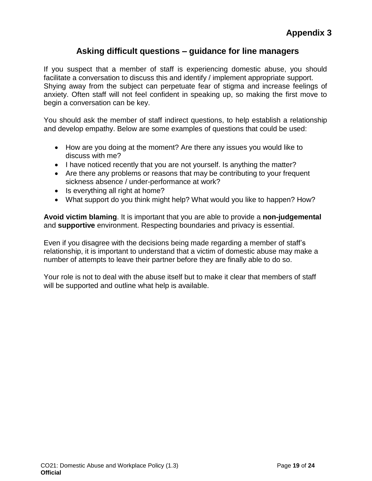# **Asking difficult questions – guidance for line managers**

<span id="page-18-1"></span><span id="page-18-0"></span>If you suspect that a member of staff is experiencing domestic abuse, you should facilitate a conversation to discuss this and identify / implement appropriate support. Shying away from the subject can perpetuate fear of stigma and increase feelings of anxiety. Often staff will not feel confident in speaking up, so making the first move to begin a conversation can be key.

You should ask the member of staff indirect questions, to help establish a relationship and develop empathy. Below are some examples of questions that could be used:

- How are you doing at the moment? Are there any issues you would like to discuss with me?
- I have noticed recently that you are not yourself. Is anything the matter?
- Are there any problems or reasons that may be contributing to your frequent sickness absence / under-performance at work?
- Is everything all right at home?
- What support do you think might help? What would you like to happen? How?

**Avoid victim blaming**. It is important that you are able to provide a **non-judgemental** and **supportive** environment. Respecting boundaries and privacy is essential.

Even if you disagree with the decisions being made regarding a member of staff's relationship, it is important to understand that a victim of domestic abuse may make a number of attempts to leave their partner before they are finally able to do so.

Your role is not to deal with the abuse itself but to make it clear that members of staff will be supported and outline what help is available.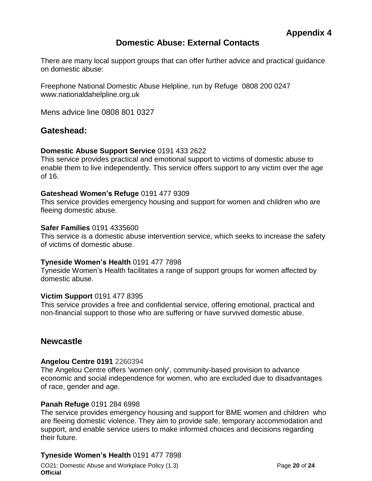# **Domestic Abuse: External Contacts**

<span id="page-19-1"></span><span id="page-19-0"></span>There are many local support groups that can offer further advice and practical guidance on domestic abuse:

Freephone National Domestic Abuse Helpline, run by Refuge 0808 200 0247 www.nationaldahelpline.org.uk

Mens advice line 0808 801 0327

# **Gateshead:**

#### **Domestic Abuse Support Service** 0191 433 2622

This service provides practical and emotional support to victims of domestic abuse to enable them to live independently. This service offers support to any victim over the age of 16.

#### **Gateshead Women's Refuge** 0191 477 9309

This service provides emergency housing and support for women and children who are fleeing domestic abuse.

#### **Safer Families** 0191 4335600

This service is a domestic abuse intervention service, which seeks to increase the safety of victims of domestic abuse.

#### **Tyneside Women's Health** 0191 477 7898

Tyneside Women's Health facilitates a range of support groups for women affected by domestic abuse.

#### **Victim Support** 0191 477 8395

This service provides a free and confidential service, offering emotional, practical and non-financial support to those who are suffering or have survived domestic abuse.

# **Newcastle**

## **Angelou Centre 0191** 2260394

The Angelou Centre offers 'women only', community-based provision to advance economic and social independence for women, who are excluded due to disadvantages of race, gender and age.

#### **Panah Refuge** 0191 284 6998

The service provides emergency housing and support for BME women and children who are fleeing domestic violence. They aim to provide safe, temporary accommodation and support, and enable service users to make informed choices and decisions regarding their future.

## **Tyneside Women's Health** 0191 477 7898

CO21: Domestic Abuse and Workplace Policy (1.3) Page **20** of **24 Official**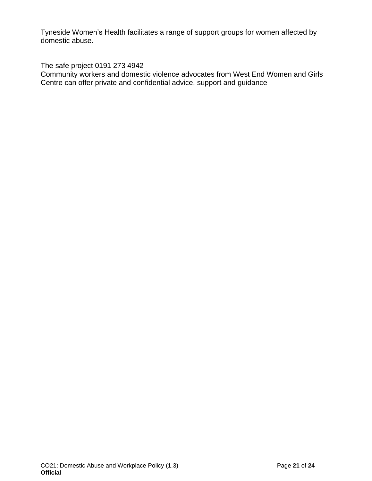Tyneside Women's Health facilitates a range of support groups for women affected by domestic abuse.

The safe project 0191 273 4942

Community workers and domestic violence advocates from West End Women and Girls Centre can offer private and confidential advice, support and guidance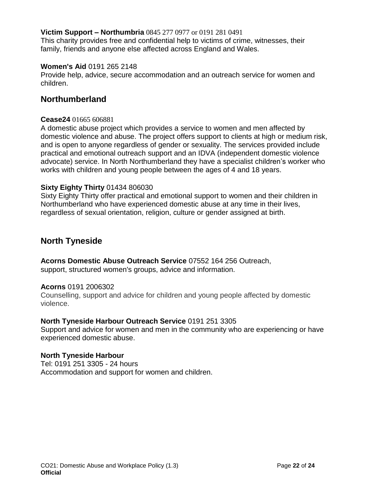## **Victim Support – Northumbria** 0845 277 0977 or 0191 281 0491

This charity provides free and confidential help to victims of crime, witnesses, their family, friends and anyone else affected across England and Wales.

#### **Women's Aid** 0191 265 2148

Provide help, advice, secure accommodation and an outreach service for women and children.

# **Northumberland**

#### **Cease24** 01665 606881

A domestic abuse project which provides a service to women and men affected by domestic violence and abuse. The project offers support to clients at high or medium risk, and is open to anyone regardless of gender or sexuality. The services provided include practical and emotional outreach support and an IDVA (independent domestic violence advocate) service. In North Northumberland they have a specialist children's worker who works with children and young people between the ages of 4 and 18 years.

#### **Sixty Eighty Thirty** 01434 806030

Sixty Eighty Thirty offer practical and emotional support to women and their children in Northumberland who have experienced domestic abuse at any time in their lives, regardless of sexual orientation, religion, culture or gender assigned at birth.

# **North Tyneside**

**Acorns Domestic Abuse Outreach Service** 07552 164 256 Outreach,

support, structured women's groups, advice and information.

#### **Acorns** 0191 2006302

Counselling, support and advice for children and young people affected by domestic violence.

#### **North Tyneside Harbour Outreach Service** 0191 251 3305

Support and advice for women and men in the community who are experiencing or have experienced domestic abuse.

#### **North Tyneside Harbour**

Tel: 0191 251 3305 - 24 hours Accommodation and support for women and children.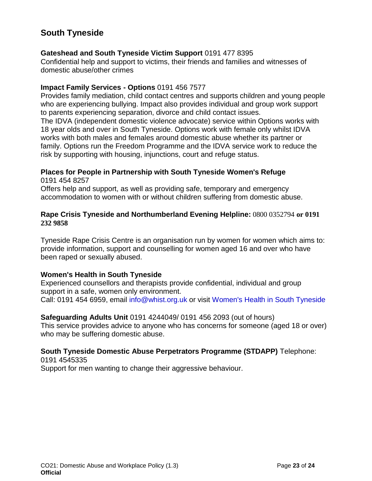# **South Tyneside**

## **Gateshead and South Tyneside Victim Support** 0191 477 8395

Confidential help and support to victims, their friends and families and witnesses of domestic abuse/other crimes

## **Impact Family Services - Options** 0191 456 7577

Provides family mediation, child contact centres and supports children and young people who are experiencing bullying. Impact also provides individual and group work support to parents experiencing separation, divorce and child contact issues.

The IDVA (independent domestic violence advocate) service within Options works with 18 year olds and over in South Tyneside. Options work with female only whilst IDVA works with both males and females around domestic abuse whether its partner or family. Options run the Freedom Programme and the IDVA service work to reduce the risk by supporting with housing, injunctions, court and refuge status.

# **Places for People in Partnership with South Tyneside Women's Refuge**

0191 454 8257 Offers help and support, as well as providing safe, temporary and emergency accommodation to women with or without children suffering from domestic abuse.

## **Rape Crisis Tyneside and Northumberland Evening Helpline:** 0800 0352794 **or 0191 232 9858**

Tyneside Rape Crisis Centre is an organisation run by women for women which aims to: provide information, support and counselling for women aged 16 and over who have been raped or sexually abused.

# **Women's Health in South Tyneside**

Experienced counsellors and therapists provide confidential, individual and group support in a safe, women only environment. Call: 0191 454 6959, email [info@whist.org.uk](mailto:info@whist.org.uk) or visit [Women's Health in South](http://www.whist.org.uk/) [Tyneside](http://www.whist.org.uk/)

# **Safeguarding Adults Unit** 0191 4244049/ 0191 456 2093 (out of hours)

This service provides advice to anyone who has concerns for someone (aged 18 or over) who may be suffering domestic abuse.

#### **South Tyneside Domestic Abuse Perpetrators Programme (STDAPP)** Telephone: 0191 4545335

Support for men wanting to change their aggressive behaviour.